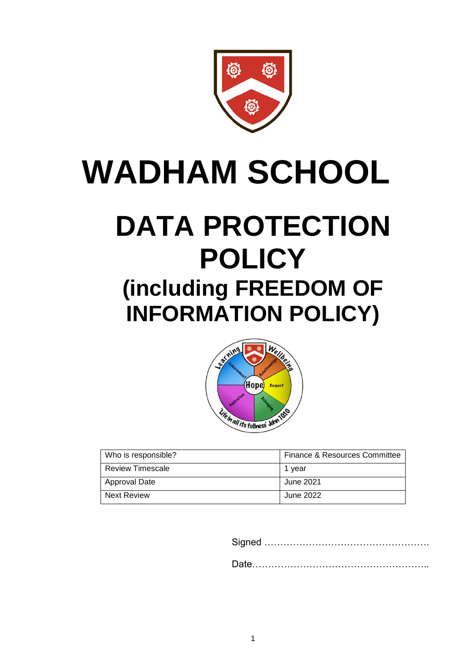

# **WADHAM SCHOOL**

## **DATA PROTECTION POLICY (including FREEDOM OF INFORMATION POLICY)**



| Who is responsible?     | Finance & Resources Committee |
|-------------------------|-------------------------------|
| <b>Review Timescale</b> | 1 vear                        |
| <b>Approval Date</b>    | June 2021                     |
| <b>Next Review</b>      | June 2022                     |

Signed ……………………………………………. Date………………………………………………..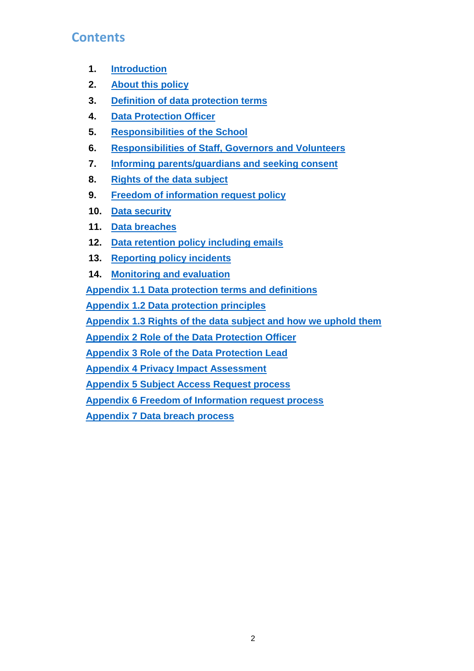#### **Contents**

- **1. [Introduction](#page-1-0)**
- **2. [About this policy](#page-2-0)**
- **3. [Definition of data protection terms](#page-2-1)**
- **4. [Data Protection Officer](#page-3-0)**
- **5. [Responsibilities of the School](#page-3-1)**
- **6. [Responsibilities of Staff, Governors](#page-3-1) and Volunteers**
- **7. [Informing parents/guardians and seeking consent](#page-4-0)**
- **8. [Rights of the data subject](#page-5-0)**
- **9. [Freedom of information request policy](#page-6-0)**
- **10. [Data security](#page-7-0)**
- **11. [Data breaches](#page-9-0)**
- **12. [Data retention policy including emails](#page-10-0)**
- **13. [Reporting policy incidents](#page-10-1)**
- **14. [Monitoring and evaluation](#page-10-2)**

**[Appendix 1.1 Data protection terms and definitions](#page-10-3)**

**[Appendix 1.2 Data protection principles](#page-12-0)**

**[Appendix 1.3 Rights of the data subject and how we uphold them](#page-13-0)**

**[Appendix 2 Role of the Data Protection](#page-15-0) Officer**

**[Appendix 3 Role of the Data Protection Lead](#page-17-0)**

**[Appendix 4 Privacy Impact Assessment](#page-18-0)**

**[Appendix 5 Subject Access Request process](#page-21-0)**

**[Appendix 6 Freedom of Information request process](#page-23-0)**

<span id="page-1-0"></span>**[Appendix 7 Data breach process](#page-25-0)**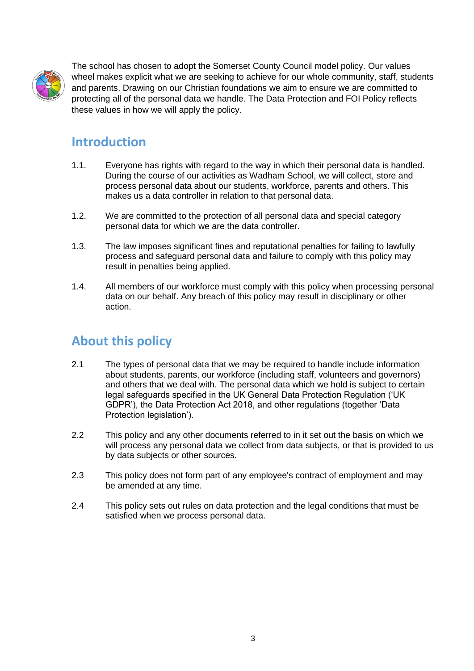

The school has chosen to adopt the Somerset County Council model policy. Our values wheel makes explicit what we are seeking to achieve for our whole community, staff, students and parents. Drawing on our Christian foundations we aim to ensure we are committed to protecting all of the personal data we handle. The Data Protection and FOI Policy reflects these values in how we will apply the policy.

#### **Introduction**

- 1.1. Everyone has rights with regard to the way in which their personal data is handled. During the course of our activities as Wadham School, we will collect, store and process personal data about our students, workforce, parents and others. This makes us a data controller in relation to that personal data.
- 1.2. We are committed to the protection of all personal data and special category personal data for which we are the data controller.
- 1.3. The law imposes significant fines and reputational penalties for failing to lawfully process and safeguard personal data and failure to comply with this policy may result in penalties being applied.
- 1.4. All members of our workforce must comply with this policy when processing personal data on our behalf. Any breach of this policy may result in disciplinary or other action.

## <span id="page-2-0"></span>**About this policy**

- 2.1 The types of personal data that we may be required to handle include information about students, parents, our workforce (including staff, volunteers and governors) and others that we deal with. The personal data which we hold is subject to certain legal safeguards specified in the UK General Data Protection Regulation ('UK GDPR'), the Data Protection Act 2018, and other regulations (together 'Data Protection legislation').
- 2.2 This policy and any other documents referred to in it set out the basis on which we will process any personal data we collect from data subjects, or that is provided to us by data subjects or other sources.
- 2.3 This policy does not form part of any employee's contract of employment and may be amended at any time.
- <span id="page-2-1"></span>2.4 This policy sets out rules on data protection and the legal conditions that must be satisfied when we process personal data.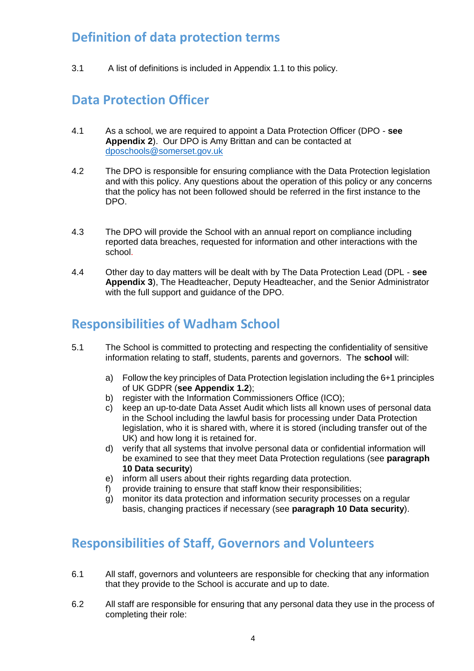#### **Definition of data protection terms**

<span id="page-3-0"></span>3.1 A list of definitions is included in Appendix 1.1 to this policy.

#### **Data Protection Officer**

- 4.1 As a school, we are required to appoint a Data Protection Officer (DPO **see Appendix 2**). Our DPO is Amy Brittan and can be contacted at [dposchools@somerset.gov.uk](mailto:dposchools@somerset.gov.uk)
- 4.2 The DPO is responsible for ensuring compliance with the Data Protection legislation and with this policy. Any questions about the operation of this policy or any concerns that the policy has not been followed should be referred in the first instance to the DPO.
- 4.3 The DPO will provide the School with an annual report on compliance including reported data breaches, requested for information and other interactions with the school.
- 4.4 Other day to day matters will be dealt with by The Data Protection Lead (DPL **see Appendix 3**), The Headteacher, Deputy Headteacher, and the Senior Administrator with the full support and guidance of the DPO.

#### **Responsibilities of Wadham School**

- 5.1 The School is committed to protecting and respecting the confidentiality of sensitive information relating to staff, students, parents and governors. The **school** will:
	- a) Follow the key principles of Data Protection legislation including the 6+1 principles of UK GDPR (**see Appendix 1.2**);
	- b) register with the Information Commissioners Office (ICO);
	- c) keep an up-to-date Data Asset Audit which lists all known uses of personal data in the School including the lawful basis for processing under Data Protection legislation, who it is shared with, where it is stored (including transfer out of the UK) and how long it is retained for.
	- d) verify that all systems that involve personal data or confidential information will be examined to see that they meet Data Protection regulations (see **paragraph 10 Data security**)
	- e) inform all users about their rights regarding data protection.
	- f) provide training to ensure that staff know their responsibilities;
	- g) monitor its data protection and information security processes on a regular basis, changing practices if necessary (see **paragraph 10 Data security**).

#### <span id="page-3-1"></span>**Responsibilities of Staff, Governors and Volunteers**

- 6.1 All staff, governors and volunteers are responsible for checking that any information that they provide to the School is accurate and up to date.
- 6.2 All staff are responsible for ensuring that any personal data they use in the process of completing their role: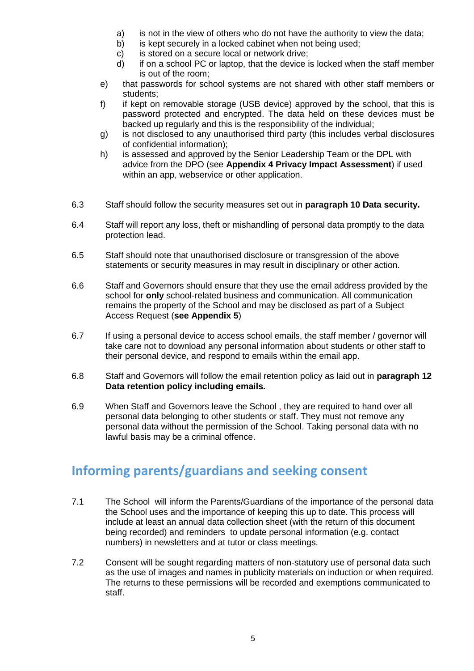- a) is not in the view of others who do not have the authority to view the data;
- b) is kept securely in a locked cabinet when not being used;
- c) is stored on a secure local or network drive;
- d) if on a school PC or laptop, that the device is locked when the staff member is out of the room;
- e) that passwords for school systems are not shared with other staff members or students;
- f) if kept on removable storage (USB device) approved by the school, that this is password protected and encrypted. The data held on these devices must be backed up regularly and this is the responsibility of the individual;
- g) is not disclosed to any unauthorised third party (this includes verbal disclosures of confidential information);
- h) is assessed and approved by the Senior Leadership Team or the DPL with advice from the DPO (see **Appendix 4 Privacy Impact Assessment**) if used within an app, webservice or other application.
- 6.3 Staff should follow the security measures set out in **paragraph 10 Data security.**
- 6.4 Staff will report any loss, theft or mishandling of personal data promptly to the data protection lead.
- 6.5 Staff should note that unauthorised disclosure or transgression of the above statements or security measures in may result in disciplinary or other action.
- 6.6 Staff and Governors should ensure that they use the email address provided by the school for **only** school-related business and communication. All communication remains the property of the School and may be disclosed as part of a Subject Access Request (**see Appendix 5**)
- 6.7 If using a personal device to access school emails, the staff member / governor will take care not to download any personal information about students or other staff to their personal device, and respond to emails within the email app.
- 6.8 Staff and Governors will follow the email retention policy as laid out in **paragraph 12 Data retention policy including emails.**
- 6.9 When Staff and Governors leave the School , they are required to hand over all personal data belonging to other students or staff. They must not remove any personal data without the permission of the School. Taking personal data with no lawful basis may be a criminal offence.

## <span id="page-4-0"></span>**Informing parents/guardians and seeking consent**

- 7.1 The School will inform the Parents/Guardians of the importance of the personal data the School uses and the importance of keeping this up to date. This process will include at least an annual data collection sheet (with the return of this document being recorded) and reminders to update personal information (e.g. contact numbers) in newsletters and at tutor or class meetings.
- 7.2 Consent will be sought regarding matters of non-statutory use of personal data such as the use of images and names in publicity materials on induction or when required. The returns to these permissions will be recorded and exemptions communicated to staff.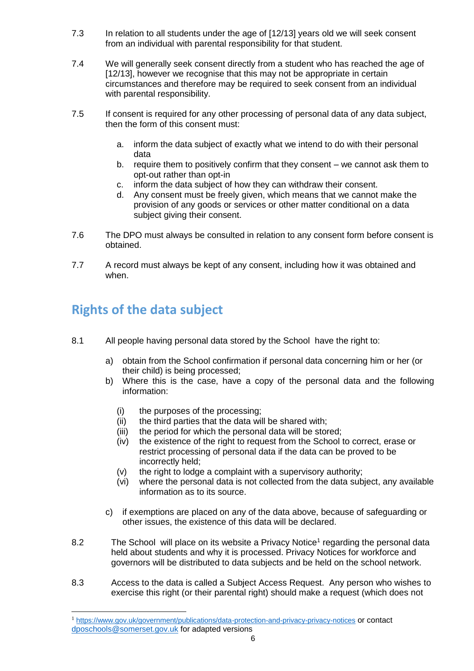- 7.3 In relation to all students under the age of [12/13] years old we will seek consent from an individual with parental responsibility for that student.
- 7.4 We will generally seek consent directly from a student who has reached the age of [12/13], however we recognise that this may not be appropriate in certain circumstances and therefore may be required to seek consent from an individual with parental responsibility.
- 7.5 If consent is required for any other processing of personal data of any data subject, then the form of this consent must:
	- a. inform the data subject of exactly what we intend to do with their personal data
	- b. require them to positively confirm that they consent we cannot ask them to opt-out rather than opt-in
	- c. inform the data subject of how they can withdraw their consent.
	- d. Any consent must be freely given, which means that we cannot make the provision of any goods or services or other matter conditional on a data subject giving their consent.
- 7.6 The DPO must always be consulted in relation to any consent form before consent is obtained.
- 7.7 A record must always be kept of any consent, including how it was obtained and when.

## <span id="page-5-0"></span>**Rights of the data subject**

1

- 8.1 All people having personal data stored by the School have the right to:
	- a) obtain from the School confirmation if personal data concerning him or her (or their child) is being processed;
	- b) Where this is the case, have a copy of the personal data and the following information:
		- (i) the purposes of the processing;
		- (ii) the third parties that the data will be shared with;
		- (iii) the period for which the personal data will be stored;
		- (iv) the existence of the right to request from the School to correct, erase or restrict processing of personal data if the data can be proved to be incorrectly held;
		- (v) the right to lodge a complaint with a supervisory authority;
		- (vi) where the personal data is not collected from the data subject, any available information as to its source.
	- c) if exemptions are placed on any of the data above, because of safeguarding or other issues, the existence of this data will be declared.
- 8.2 The School will place on its website a Privacy Notice<sup>1</sup> regarding the personal data held about students and why it is processed. Privacy Notices for workforce and governors will be distributed to data subjects and be held on the school network.
- 8.3 Access to the data is called a Subject Access Request. Any person who wishes to exercise this right (or their parental right) should make a request (which does not

<sup>1</sup> <https://www.gov.uk/government/publications/data-protection-and-privacy-privacy-notices> or contact [dposchools@somerset.gov.uk](mailto:dposchools@somerset.gov.uk) for adapted versions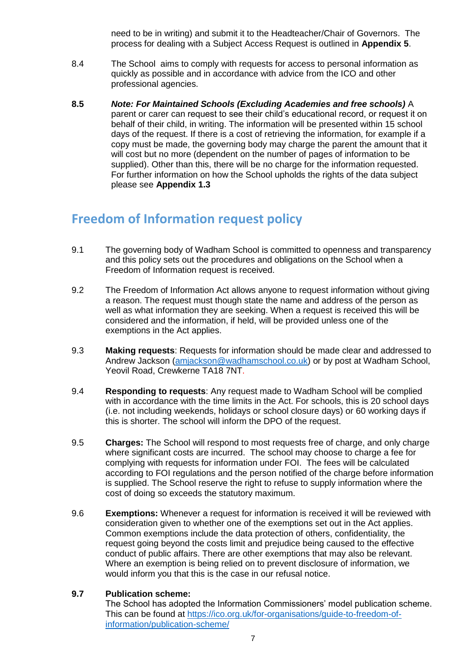need to be in writing) and submit it to the Headteacher/Chair of Governors. The process for dealing with a Subject Access Request is outlined in **Appendix 5**.

- 8.4 The School aims to comply with requests for access to personal information as quickly as possible and in accordance with advice from the ICO and other professional agencies.
- **8.5** *Note: For Maintained Schools (Excluding Academies and free schools)* A parent or carer can request to see their child's educational record, or request it on behalf of their child, in writing. The information will be presented within 15 school days of the request. If there is a cost of retrieving the information, for example if a copy must be made, the governing body may charge the parent the amount that it will cost but no more (dependent on the number of pages of information to be supplied). Other than this, there will be no charge for the information requested. For further information on how the School upholds the rights of the data subject please see **Appendix 1.3**

#### <span id="page-6-0"></span>**Freedom of Information request policy**

- 9.1 The governing body of Wadham School is committed to openness and transparency and this policy sets out the procedures and obligations on the School when a Freedom of Information request is received.
- 9.2 The Freedom of Information Act allows anyone to request information without giving a reason. The request must though state the name and address of the person as well as what information they are seeking. When a request is received this will be considered and the information, if held, will be provided unless one of the exemptions in the Act applies.
- 9.3 **Making requests**: Requests for information should be made clear and addressed to Andrew Jackson [\(amjackson@wadhamschool.co.uk\)](mailto:amjackson@wadhamschool.co.uk) or by post at Wadham School, Yeovil Road, Crewkerne TA18 7NT.
- 9.4 **Responding to requests**: Any request made to Wadham School will be complied with in accordance with the time limits in the Act. For schools, this is 20 school days (i.e. not including weekends, holidays or school closure days) or 60 working days if this is shorter. The school will inform the DPO of the request.
- 9.5 **Charges:** The School will respond to most requests free of charge, and only charge where significant costs are incurred. The school may choose to charge a fee for complying with requests for information under FOI. The fees will be calculated according to FOI regulations and the person notified of the charge before information is supplied. The School reserve the right to refuse to supply information where the cost of doing so exceeds the statutory maximum.
- 9.6 **Exemptions:** Whenever a request for information is received it will be reviewed with consideration given to whether one of the exemptions set out in the Act applies. Common exemptions include the data protection of others, confidentiality, the request going beyond the costs limit and prejudice being caused to the effective conduct of public affairs. There are other exemptions that may also be relevant. Where an exemption is being relied on to prevent disclosure of information, we would inform you that this is the case in our refusal notice.

#### **9.7 Publication scheme:**

The School has adopted the Information Commissioners' model publication scheme. This can be found at [https://ico.org.uk/for-organisations/guide-to-freedom-of](https://ico.org.uk/for-organisations/guide-to-freedom-of-information/publication-scheme/)[information/publication-scheme/](https://ico.org.uk/for-organisations/guide-to-freedom-of-information/publication-scheme/)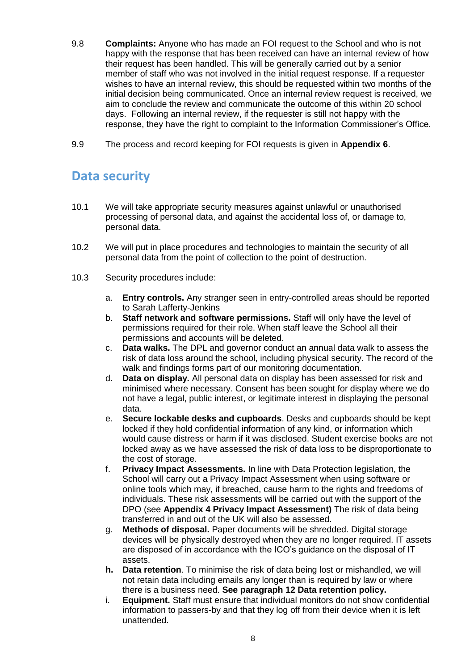- 9.8 **Complaints:** Anyone who has made an FOI request to the School and who is not happy with the response that has been received can have an internal review of how their request has been handled. This will be generally carried out by a senior member of staff who was not involved in the initial request response. If a requester wishes to have an internal review, this should be requested within two months of the initial decision being communicated. Once an internal review request is received, we aim to conclude the review and communicate the outcome of this within 20 school days. Following an internal review, if the requester is still not happy with the response, they have the right to complaint to the Information Commissioner's Office.
- 9.9 The process and record keeping for FOI requests is given in **Appendix 6**.

#### <span id="page-7-0"></span>**Data security**

- 10.1 We will take appropriate security measures against unlawful or unauthorised processing of personal data, and against the accidental loss of, or damage to, personal data.
- 10.2 We will put in place procedures and technologies to maintain the security of all personal data from the point of collection to the point of destruction.
- 10.3 Security procedures include:
	- a. **Entry controls.** Any stranger seen in entry-controlled areas should be reported to Sarah Lafferty-Jenkins
	- b. **Staff network and software permissions.** Staff will only have the level of permissions required for their role. When staff leave the School all their permissions and accounts will be deleted.
	- c. **Data walks.** The DPL and governor conduct an annual data walk to assess the risk of data loss around the school, including physical security. The record of the walk and findings forms part of our monitoring documentation.
	- d. **Data on display.** All personal data on display has been assessed for risk and minimised where necessary. Consent has been sought for display where we do not have a legal, public interest, or legitimate interest in displaying the personal data.
	- e. **Secure lockable desks and cupboards**. Desks and cupboards should be kept locked if they hold confidential information of any kind, or information which would cause distress or harm if it was disclosed. Student exercise books are not locked away as we have assessed the risk of data loss to be disproportionate to the cost of storage.
	- f. **Privacy Impact Assessments.** In line with Data Protection legislation, the School will carry out a Privacy Impact Assessment when using software or online tools which may, if breached, cause harm to the rights and freedoms of individuals. These risk assessments will be carried out with the support of the DPO (see **Appendix 4 Privacy Impact Assessment)** The risk of data being transferred in and out of the UK will also be assessed.
	- g. **Methods of disposal.** Paper documents will be shredded. Digital storage devices will be physically destroyed when they are no longer required. IT assets are disposed of in accordance with the ICO's guidance on the disposal of IT assets.
	- **h. Data retention**. To minimise the risk of data being lost or mishandled, we will not retain data including emails any longer than is required by law or where there is a business need. **See paragraph 12 Data retention policy.**
	- i. **Equipment.** Staff must ensure that individual monitors do not show confidential information to passers-by and that they log off from their device when it is left unattended.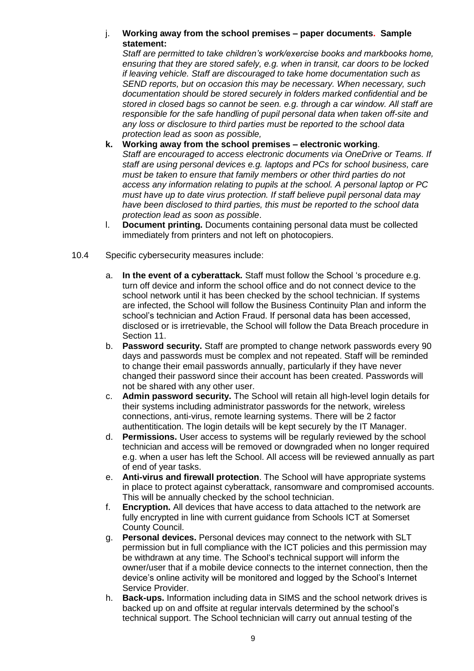#### j. **Working away from the school premises – paper documents. Sample statement:**

*Staff are permitted to take children's work/exercise books and markbooks home, ensuring that they are stored safely, e.g. when in transit, car doors to be locked if leaving vehicle. Staff are discouraged to take home documentation such as SEND reports, but on occasion this may be necessary. When necessary, such documentation should be stored securely in folders marked confidential and be stored in closed bags so cannot be seen. e.g. through a car window. All staff are responsible for the safe handling of pupil personal data when taken off-site and any loss or disclosure to third parties must be reported to the school data protection lead as soon as possible,*

- **k. Working away from the school premises – electronic working**. Staff are encouraged to access electronic documents via OneDrive or Teams. If *staff are using personal devices e.g. laptops and PCs for school business, care must be taken to ensure that family members or other third parties do not access any information relating to pupils at the school. A personal laptop or PC must have up to date virus protection. If staff believe pupil personal data may have been disclosed to third parties, this must be reported to the school data protection lead as soon as possible*.
- l. **Document printing.** Documents containing personal data must be collected immediately from printers and not left on photocopiers.
- 10.4 Specific cybersecurity measures include:
	- a. **In the event of a cyberattack.** Staff must follow the School 's procedure e.g. turn off device and inform the school office and do not connect device to the school network until it has been checked by the school technician. If systems are infected, the School will follow the Business Continuity Plan and inform the school's technician and Action Fraud. If personal data has been accessed, disclosed or is irretrievable, the School will follow the Data Breach procedure in Section 11.
	- b. **Password security.** Staff are prompted to change network passwords every 90 days and passwords must be complex and not repeated. Staff will be reminded to change their email passwords annually, particularly if they have never changed their password since their account has been created. Passwords will not be shared with any other user.
	- c. **Admin password security.** The School will retain all high-level login details for their systems including administrator passwords for the network, wireless connections, anti-virus, remote learning systems. There will be 2 factor authentitication. The login details will be kept securely by the IT Manager.
	- d. **Permissions.** User access to systems will be regularly reviewed by the school technician and access will be removed or downgraded when no longer required e.g. when a user has left the School. All access will be reviewed annually as part of end of year tasks.
	- e. **Anti-virus and firewall protection**. The School will have appropriate systems in place to protect against cyberattack, ransomware and compromised accounts. This will be annually checked by the school technician.
	- f. **Encryption.** All devices that have access to data attached to the network are fully encrypted in line with current guidance from Schools ICT at Somerset County Council.
	- g. **Personal devices.** Personal devices may connect to the network with SLT permission but in full compliance with the ICT policies and this permission may be withdrawn at any time. The School's technical support will inform the owner/user that if a mobile device connects to the internet connection, then the device's online activity will be monitored and logged by the School's Internet Service Provider.
	- h. **Back-ups.** Information including data in SIMS and the school network drives is backed up on and offsite at regular intervals determined by the school's technical support. The School technician will carry out annual testing of the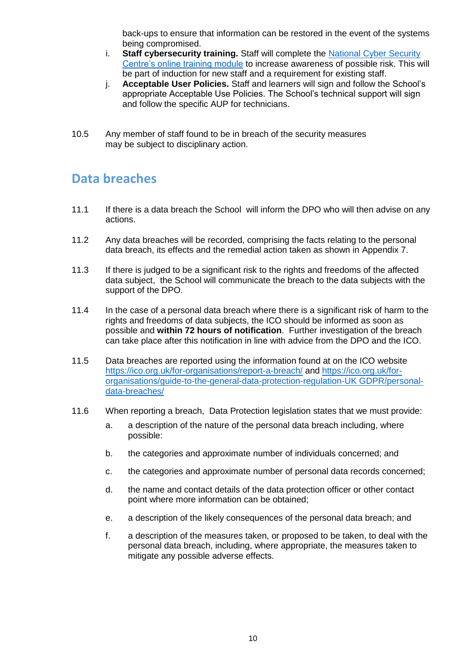back-ups to ensure that information can be restored in the event of the systems being compromised.

- i. **Staff cybersecurity training.** Staff will complete the [National Cyber Security](https://www.ncsc.gov.uk/training/StaySafeOnline_web/index.html#/menu/5f215cc1006d2436a3b6c5e2)  [Centre's online training module](https://www.ncsc.gov.uk/training/StaySafeOnline_web/index.html#/menu/5f215cc1006d2436a3b6c5e2) to increase awareness of possible risk. This will be part of induction for new staff and a requirement for existing staff.
- j. **Acceptable User Policies.** Staff and learners will sign and follow the School's appropriate Acceptable Use Policies. The School's technical support will sign and follow the specific AUP for technicians.
- 10.5 Any member of staff found to be in breach of the security measures may be subject to disciplinary action.

#### <span id="page-9-0"></span>**Data breaches**

- 11.1 If there is a data breach the School will inform the DPO who will then advise on any actions.
- 11.2 Any data breaches will be recorded, comprising the facts relating to the personal data breach, its effects and the remedial action taken as shown in Appendix 7.
- 11.3 If there is judged to be a significant risk to the rights and freedoms of the affected data subject, the School will communicate the breach to the data subjects with the support of the DPO.
- 11.4 In the case of a personal data breach where there is a significant risk of harm to the rights and freedoms of data subjects, the ICO should be informed as soon as possible and **within 72 hours of notification**. Further investigation of the breach can take place after this notification in line with advice from the DPO and the ICO.
- 11.5 Data breaches are reported using the information found at on the ICO website <https://ico.org.uk/for-organisations/report-a-breach/> and [https://ico.org.uk/for](https://ico.org.uk/for-organisations/guide-to-the-general-data-protection-regulation-gdpr/personal-data-breaches/)[organisations/guide-to-the-general-data-protection-regulation-UK GDPR/personal](https://ico.org.uk/for-organisations/guide-to-the-general-data-protection-regulation-gdpr/personal-data-breaches/)[data-breaches/](https://ico.org.uk/for-organisations/guide-to-the-general-data-protection-regulation-gdpr/personal-data-breaches/)
- 11.6 When reporting a breach, Data Protection legislation states that we must provide:
	- a. a description of the nature of the personal data breach including, where possible:
	- b. the categories and approximate number of individuals concerned; and
	- c. the categories and approximate number of personal data records concerned;
	- d. the name and contact details of the data protection officer or other contact point where more information can be obtained;
	- e. a description of the likely consequences of the personal data breach; and
	- f. a description of the measures taken, or proposed to be taken, to deal with the personal data breach, including, where appropriate, the measures taken to mitigate any possible adverse effects.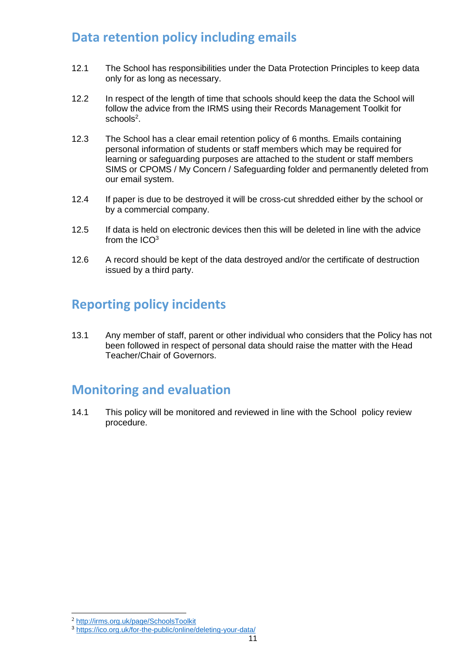### <span id="page-10-0"></span>**Data retention policy including emails**

- 12.1 The School has responsibilities under the Data Protection Principles to keep data only for as long as necessary.
- 12.2 In respect of the length of time that schools should keep the data the School will follow the advice from the IRMS using their Records Management Toolkit for schools<sup>2</sup>.
- 12.3 The School has a clear email retention policy of 6 months. Emails containing personal information of students or staff members which may be required for learning or safeguarding purposes are attached to the student or staff members SIMS or CPOMS / My Concern / Safeguarding folder and permanently deleted from our email system.
- 12.4 If paper is due to be destroyed it will be cross-cut shredded either by the school or by a commercial company.
- 12.5 If data is held on electronic devices then this will be deleted in line with the advice from the ICO<sup>3</sup>
- 12.6 A record should be kept of the data destroyed and/or the certificate of destruction issued by a third party.

## <span id="page-10-1"></span>**Reporting policy incidents**

13.1 Any member of staff, parent or other individual who considers that the Policy has not been followed in respect of personal data should raise the matter with the Head Teacher/Chair of Governors.

#### <span id="page-10-2"></span>**Monitoring and evaluation**

<span id="page-10-3"></span>14.1 This policy will be monitored and reviewed in line with the School policy review procedure.

1

<sup>2</sup> <http://irms.org.uk/page/SchoolsToolkit>

<sup>3</sup> <https://ico.org.uk/for-the-public/online/deleting-your-data/>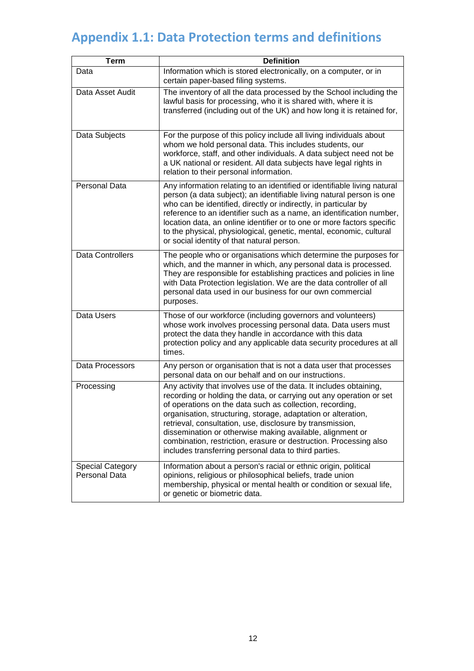## **Appendix 1.1: Data Protection terms and definitions**

| <b>Term</b>                                     | <b>Definition</b>                                                                                                                                                                                                                                                                                                                                                                                                                                                                                                              |
|-------------------------------------------------|--------------------------------------------------------------------------------------------------------------------------------------------------------------------------------------------------------------------------------------------------------------------------------------------------------------------------------------------------------------------------------------------------------------------------------------------------------------------------------------------------------------------------------|
| Data                                            | Information which is stored electronically, on a computer, or in<br>certain paper-based filing systems.                                                                                                                                                                                                                                                                                                                                                                                                                        |
| Data Asset Audit                                | The inventory of all the data processed by the School including the<br>lawful basis for processing, who it is shared with, where it is<br>transferred (including out of the UK) and how long it is retained for,                                                                                                                                                                                                                                                                                                               |
| Data Subjects                                   | For the purpose of this policy include all living individuals about<br>whom we hold personal data. This includes students, our<br>workforce, staff, and other individuals. A data subject need not be<br>a UK national or resident. All data subjects have legal rights in<br>relation to their personal information.                                                                                                                                                                                                          |
| Personal Data                                   | Any information relating to an identified or identifiable living natural<br>person (a data subject); an identifiable living natural person is one<br>who can be identified, directly or indirectly, in particular by<br>reference to an identifier such as a name, an identification number,<br>location data, an online identifier or to one or more factors specific<br>to the physical, physiological, genetic, mental, economic, cultural<br>or social identity of that natural person.                                    |
| <b>Data Controllers</b>                         | The people who or organisations which determine the purposes for<br>which, and the manner in which, any personal data is processed.<br>They are responsible for establishing practices and policies in line<br>with Data Protection legislation. We are the data controller of all<br>personal data used in our business for our own commercial<br>purposes.                                                                                                                                                                   |
| Data Users                                      | Those of our workforce (including governors and volunteers)<br>whose work involves processing personal data. Data users must<br>protect the data they handle in accordance with this data<br>protection policy and any applicable data security procedures at all<br>times.                                                                                                                                                                                                                                                    |
| Data Processors                                 | Any person or organisation that is not a data user that processes<br>personal data on our behalf and on our instructions.                                                                                                                                                                                                                                                                                                                                                                                                      |
| Processing                                      | Any activity that involves use of the data. It includes obtaining,<br>recording or holding the data, or carrying out any operation or set<br>of operations on the data such as collection, recording,<br>organisation, structuring, storage, adaptation or alteration,<br>retrieval, consultation, use, disclosure by transmission,<br>dissemination or otherwise making available, alignment or<br>combination, restriction, erasure or destruction. Processing also<br>includes transferring personal data to third parties. |
| <b>Special Category</b><br><b>Personal Data</b> | Information about a person's racial or ethnic origin, political<br>opinions, religious or philosophical beliefs, trade union<br>membership, physical or mental health or condition or sexual life,<br>or genetic or biometric data.                                                                                                                                                                                                                                                                                            |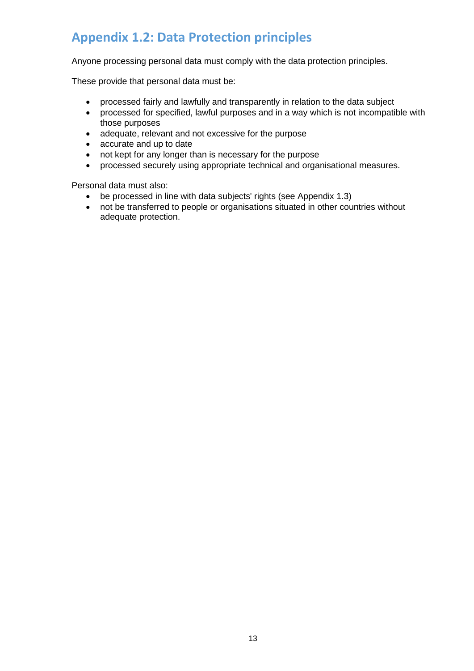## <span id="page-12-0"></span>**Appendix 1.2: Data Protection principles**

Anyone processing personal data must comply with the data protection principles.

These provide that personal data must be:

- processed fairly and lawfully and transparently in relation to the data subject
- processed for specified, lawful purposes and in a way which is not incompatible with those purposes
- adequate, relevant and not excessive for the purpose
- accurate and up to date
- not kept for any longer than is necessary for the purpose
- processed securely using appropriate technical and organisational measures.

Personal data must also:

- be processed in line with data subjects' rights (see Appendix 1.3)<br>• not be transferred to people or organisations situated in other cou
- not be transferred to people or organisations situated in other countries without adequate protection.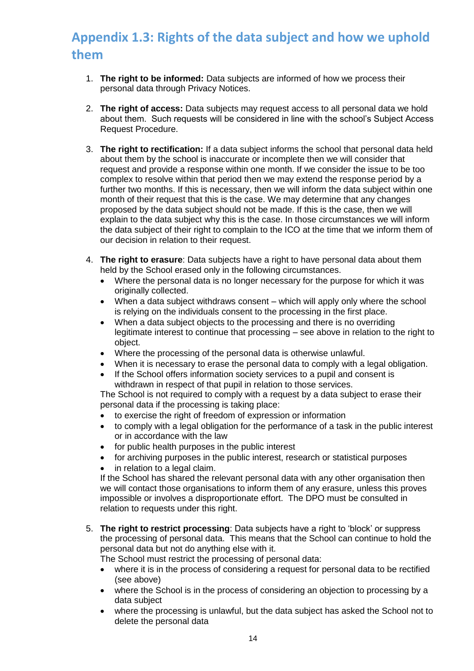## <span id="page-13-0"></span>**Appendix 1.3: Rights of the data subject and how we uphold them**

- 1. **The right to be informed:** Data subjects are informed of how we process their personal data through Privacy Notices.
- 2. **The right of access:** Data subjects may request access to all personal data we hold about them. Such requests will be considered in line with the school's Subject Access Request Procedure.
- 3. **The right to rectification:** If a data subject informs the school that personal data held about them by the school is inaccurate or incomplete then we will consider that request and provide a response within one month. If we consider the issue to be too complex to resolve within that period then we may extend the response period by a further two months. If this is necessary, then we will inform the data subject within one month of their request that this is the case. We may determine that any changes proposed by the data subject should not be made. If this is the case, then we will explain to the data subject why this is the case. In those circumstances we will inform the data subject of their right to complain to the ICO at the time that we inform them of our decision in relation to their request.
- 4. **The right to erasure**: Data subjects have a right to have personal data about them held by the School erased only in the following circumstances.
	- Where the personal data is no longer necessary for the purpose for which it was originally collected.
	- When a data subject withdraws consent which will apply only where the school is relying on the individuals consent to the processing in the first place.
	- When a data subject objects to the processing and there is no overriding legitimate interest to continue that processing – see above in relation to the right to object.
	- Where the processing of the personal data is otherwise unlawful.
	- When it is necessary to erase the personal data to comply with a legal obligation.
	- If the School offers information society services to a pupil and consent is withdrawn in respect of that pupil in relation to those services.

The School is not required to comply with a request by a data subject to erase their personal data if the processing is taking place:

- to exercise the right of freedom of expression or information
- to comply with a legal obligation for the performance of a task in the public interest or in accordance with the law
- for public health purposes in the public interest
- for archiving purposes in the public interest, research or statistical purposes
- in relation to a legal claim.

If the School has shared the relevant personal data with any other organisation then we will contact those organisations to inform them of any erasure, unless this proves impossible or involves a disproportionate effort. The DPO must be consulted in relation to requests under this right.

5. **The right to restrict processing**: Data subjects have a right to 'block' or suppress the processing of personal data. This means that the School can continue to hold the personal data but not do anything else with it.

The School must restrict the processing of personal data:

- where it is in the process of considering a request for personal data to be rectified (see above)
- where the School is in the process of considering an objection to processing by a data subject
- where the processing is unlawful, but the data subject has asked the School not to delete the personal data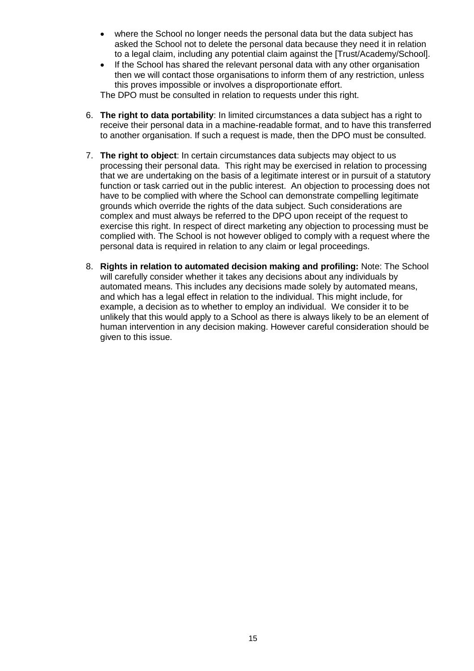- where the School no longer needs the personal data but the data subject has asked the School not to delete the personal data because they need it in relation to a legal claim, including any potential claim against the [Trust/Academy/School].
- If the School has shared the relevant personal data with any other organisation then we will contact those organisations to inform them of any restriction, unless this proves impossible or involves a disproportionate effort.

The DPO must be consulted in relation to requests under this right.

- 6. **The right to data portability**: In limited circumstances a data subject has a right to receive their personal data in a machine-readable format, and to have this transferred to another organisation. If such a request is made, then the DPO must be consulted.
- 7. **The right to object**: In certain circumstances data subjects may object to us processing their personal data. This right may be exercised in relation to processing that we are undertaking on the basis of a legitimate interest or in pursuit of a statutory function or task carried out in the public interest. An objection to processing does not have to be complied with where the School can demonstrate compelling legitimate grounds which override the rights of the data subject. Such considerations are complex and must always be referred to the DPO upon receipt of the request to exercise this right. In respect of direct marketing any objection to processing must be complied with. The School is not however obliged to comply with a request where the personal data is required in relation to any claim or legal proceedings.
- 8. **Rights in relation to automated decision making and profiling:** Note: The School will carefully consider whether it takes any decisions about any individuals by automated means. This includes any decisions made solely by automated means, and which has a legal effect in relation to the individual. This might include, for example, a decision as to whether to employ an individual. We consider it to be unlikely that this would apply to a School as there is always likely to be an element of human intervention in any decision making. However careful consideration should be given to this issue.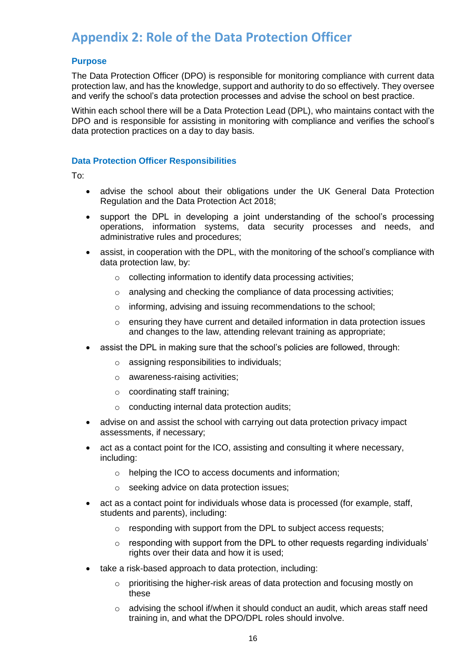## <span id="page-15-0"></span>**Appendix 2: Role of the Data Protection Officer**

#### **Purpose**

The Data Protection Officer (DPO) is responsible for monitoring compliance with current data protection law, and has the knowledge, support and authority to do so effectively. They oversee and verify the school's data protection processes and advise the school on best practice.

Within each school there will be a Data Protection Lead (DPL), who maintains contact with the DPO and is responsible for assisting in monitoring with compliance and verifies the school's data protection practices on a day to day basis.

#### **Data Protection Officer Responsibilities**

To:

- advise the school about their obligations under the UK General Data Protection Regulation and the Data Protection Act 2018;
- support the DPL in developing a joint understanding of the school's processing operations, information systems, data security processes and needs, and administrative rules and procedures;
- assist, in cooperation with the DPL, with the monitoring of the school's compliance with data protection law, by:
	- o collecting information to identify data processing activities;
	- o analysing and checking the compliance of data processing activities;
	- o informing, advising and issuing recommendations to the school;
	- $\circ$  ensuring they have current and detailed information in data protection issues and changes to the law, attending relevant training as appropriate;
- assist the DPL in making sure that the school's policies are followed, through:
	- o assigning responsibilities to individuals;
	- o awareness-raising activities;
	- o coordinating staff training;
	- o conducting internal data protection audits;
- advise on and assist the school with carrying out data protection privacy impact assessments, if necessary;
- act as a contact point for the ICO, assisting and consulting it where necessary, including:
	- o helping the ICO to access documents and information;
	- o seeking advice on data protection issues;
- act as a contact point for individuals whose data is processed (for example, staff, students and parents), including:
	- o responding with support from the DPL to subject access requests;
	- $\circ$  responding with support from the DPL to other requests regarding individuals' rights over their data and how it is used;
- take a risk-based approach to data protection, including:
	- $\circ$  prioritising the higher-risk areas of data protection and focusing mostly on these
	- $\circ$  advising the school if/when it should conduct an audit, which areas staff need training in, and what the DPO/DPL roles should involve.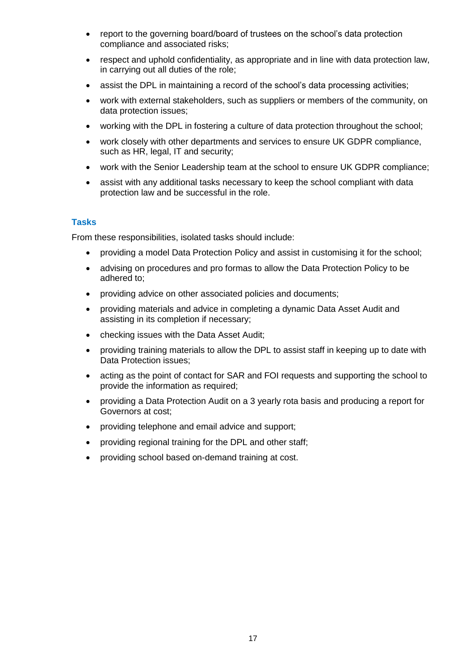- report to the governing board/board of trustees on the school's data protection compliance and associated risks;
- respect and uphold confidentiality, as appropriate and in line with data protection law, in carrying out all duties of the role;
- assist the DPL in maintaining a record of the school's data processing activities;
- work with external stakeholders, such as suppliers or members of the community, on data protection issues;
- working with the DPL in fostering a culture of data protection throughout the school;
- work closely with other departments and services to ensure UK GDPR compliance, such as HR, legal, IT and security;
- work with the Senior Leadership team at the school to ensure UK GDPR compliance;
- assist with any additional tasks necessary to keep the school compliant with data protection law and be successful in the role.

#### **Tasks**

From these responsibilities, isolated tasks should include:

- providing a model Data Protection Policy and assist in customising it for the school;
- advising on procedures and pro formas to allow the Data Protection Policy to be adhered to;
- providing advice on other associated policies and documents;
- providing materials and advice in completing a dynamic Data Asset Audit and assisting in its completion if necessary;
- checking issues with the Data Asset Audit;
- providing training materials to allow the DPL to assist staff in keeping up to date with Data Protection issues;
- acting as the point of contact for SAR and FOI requests and supporting the school to provide the information as required;
- providing a Data Protection Audit on a 3 yearly rota basis and producing a report for Governors at cost;
- providing telephone and email advice and support;
- providing regional training for the DPL and other staff;
- providing school based on-demand training at cost.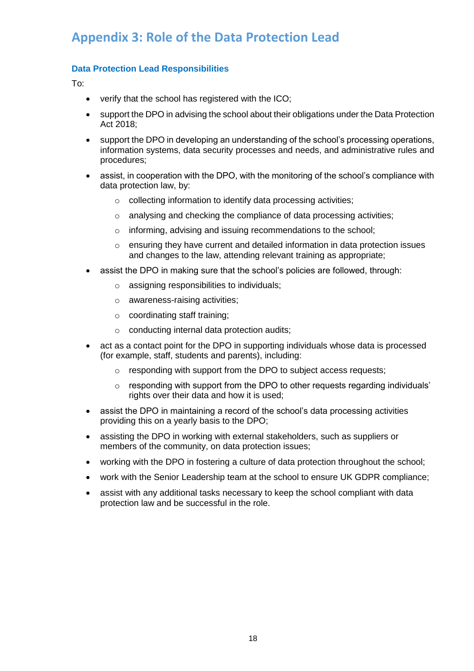## <span id="page-17-0"></span>**Appendix 3: Role of the Data Protection Lead**

#### **Data Protection Lead Responsibilities**

To:

- verify that the school has registered with the ICO;
- support the DPO in advising the school about their obligations under the Data Protection Act 2018;
- support the DPO in developing an understanding of the school's processing operations, information systems, data security processes and needs, and administrative rules and procedures;
- assist, in cooperation with the DPO, with the monitoring of the school's compliance with data protection law, by:
	- o collecting information to identify data processing activities;
	- o analysing and checking the compliance of data processing activities;
	- o informing, advising and issuing recommendations to the school;
	- $\circ$  ensuring they have current and detailed information in data protection issues and changes to the law, attending relevant training as appropriate;
- assist the DPO in making sure that the school's policies are followed, through:
	- o assigning responsibilities to individuals;
	- o awareness-raising activities;
	- o coordinating staff training;
	- o conducting internal data protection audits;
- act as a contact point for the DPO in supporting individuals whose data is processed (for example, staff, students and parents), including:
	- o responding with support from the DPO to subject access requests;
	- $\circ$  responding with support from the DPO to other requests regarding individuals' rights over their data and how it is used;
- assist the DPO in maintaining a record of the school's data processing activities providing this on a yearly basis to the DPO;
- assisting the DPO in working with external stakeholders, such as suppliers or members of the community, on data protection issues;
- working with the DPO in fostering a culture of data protection throughout the school;
- work with the Senior Leadership team at the school to ensure UK GDPR compliance;
- assist with any additional tasks necessary to keep the school compliant with data protection law and be successful in the role.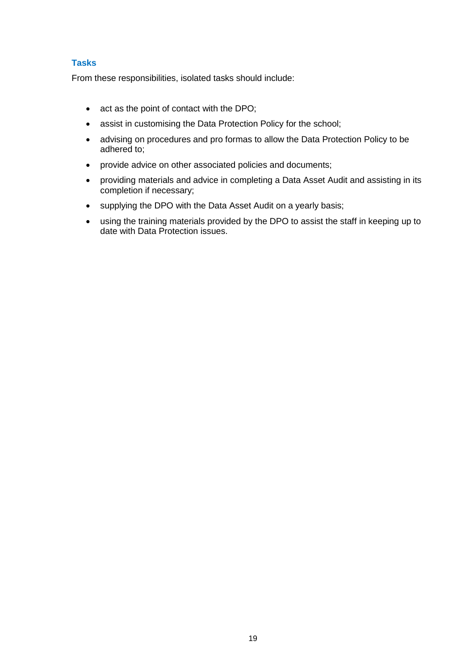#### **Tasks**

From these responsibilities, isolated tasks should include:

- act as the point of contact with the DPO;
- assist in customising the Data Protection Policy for the school;
- advising on procedures and pro formas to allow the Data Protection Policy to be adhered to;
- provide advice on other associated policies and documents;
- providing materials and advice in completing a Data Asset Audit and assisting in its completion if necessary;
- supplying the DPO with the Data Asset Audit on a yearly basis;
- <span id="page-18-0"></span>• using the training materials provided by the DPO to assist the staff in keeping up to date with Data Protection issues.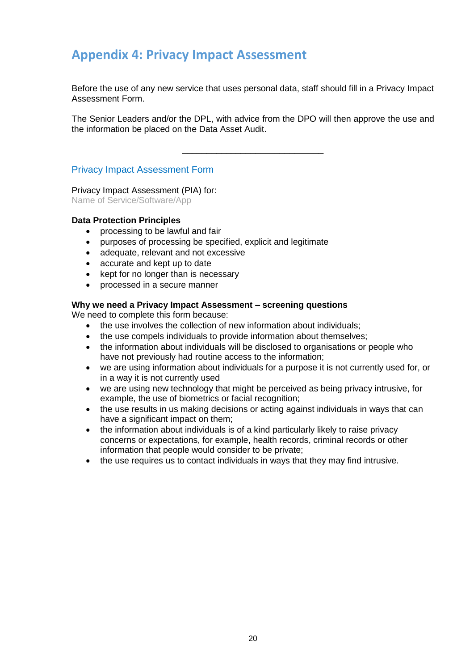## **Appendix 4: Privacy Impact Assessment**

Before the use of any new service that uses personal data, staff should fill in a Privacy Impact Assessment Form.

The Senior Leaders and/or the DPL, with advice from the DPO will then approve the use and the information be placed on the Data Asset Audit.

\_\_\_\_\_\_\_\_\_\_\_\_\_\_\_\_\_\_\_\_\_\_\_\_\_\_\_\_\_

#### Privacy Impact Assessment Form

Privacy Impact Assessment (PIA) for:

Name of Service/Software/App

#### **Data Protection Principles**

- processing to be lawful and fair
- purposes of processing be specified, explicit and legitimate
- adequate, relevant and not excessive
- accurate and kept up to date
- kept for no longer than is necessary
- processed in a secure manner

#### **Why we need a Privacy Impact Assessment – screening questions**

We need to complete this form because:

- the use involves the collection of new information about individuals;
- the use compels individuals to provide information about themselves;
- the information about individuals will be disclosed to organisations or people who have not previously had routine access to the information;
- we are using information about individuals for a purpose it is not currently used for, or in a way it is not currently used
- we are using new technology that might be perceived as being privacy intrusive, for example, the use of biometrics or facial recognition;
- the use results in us making decisions or acting against individuals in ways that can have a significant impact on them;
- the information about individuals is of a kind particularly likely to raise privacy concerns or expectations, for example, health records, criminal records or other information that people would consider to be private;
- the use requires us to contact individuals in ways that they may find intrusive.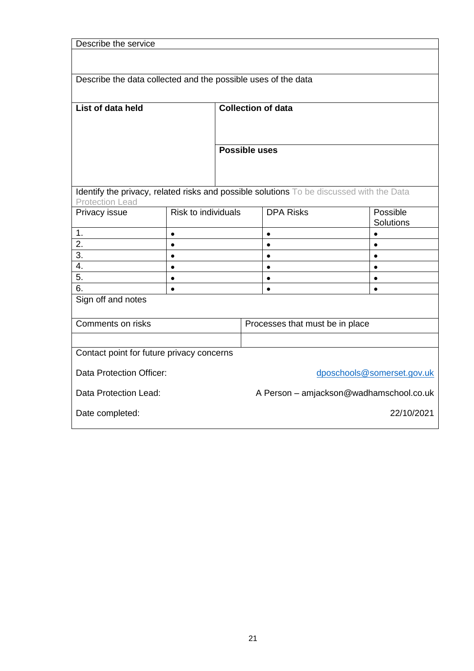| Describe the service                                                                     |                     |                                 |            |                           |  |                  |
|------------------------------------------------------------------------------------------|---------------------|---------------------------------|------------|---------------------------|--|------------------|
|                                                                                          |                     |                                 |            |                           |  |                  |
|                                                                                          |                     |                                 |            |                           |  |                  |
| Describe the data collected and the possible uses of the data                            |                     |                                 |            |                           |  |                  |
|                                                                                          |                     |                                 |            |                           |  |                  |
| List of data held                                                                        |                     |                                 |            | <b>Collection of data</b> |  |                  |
|                                                                                          |                     |                                 |            |                           |  |                  |
|                                                                                          |                     |                                 |            |                           |  |                  |
|                                                                                          |                     | <b>Possible uses</b>            |            |                           |  |                  |
|                                                                                          |                     |                                 |            |                           |  |                  |
|                                                                                          |                     |                                 |            |                           |  |                  |
|                                                                                          |                     |                                 |            |                           |  |                  |
| Identify the privacy, related risks and possible solutions To be discussed with the Data |                     |                                 |            |                           |  |                  |
| <b>Protection Lead</b><br>Privacy issue                                                  | Risk to individuals |                                 |            | <b>DPA Risks</b>          |  | Possible         |
|                                                                                          |                     |                                 |            |                           |  | <b>Solutions</b> |
| 1.                                                                                       | $\bullet$           |                                 |            | $\bullet$                 |  | $\bullet$        |
| 2.                                                                                       | $\bullet$           |                                 |            | $\bullet$                 |  | $\bullet$        |
| 3.                                                                                       | $\bullet$           |                                 |            | $\bullet$                 |  | $\bullet$        |
| 4.                                                                                       | $\bullet$           |                                 |            | $\bullet$                 |  | $\bullet$        |
| 5.                                                                                       | $\bullet$           |                                 |            | $\bullet$                 |  | $\bullet$        |
| 6.                                                                                       | $\bullet$           |                                 |            | $\bullet$                 |  | $\bullet$        |
| Sign off and notes                                                                       |                     |                                 |            |                           |  |                  |
| Comments on risks                                                                        |                     |                                 |            |                           |  |                  |
|                                                                                          |                     | Processes that must be in place |            |                           |  |                  |
|                                                                                          |                     |                                 |            |                           |  |                  |
| Contact point for future privacy concerns                                                |                     |                                 |            |                           |  |                  |
| Data Protection Officer:<br>dposchools@somerset.gov.uk                                   |                     |                                 |            |                           |  |                  |
| Data Protection Lead:<br>A Person - amjackson@wadhamschool.co.uk                         |                     |                                 |            |                           |  |                  |
| Date completed:                                                                          |                     |                                 | 22/10/2021 |                           |  |                  |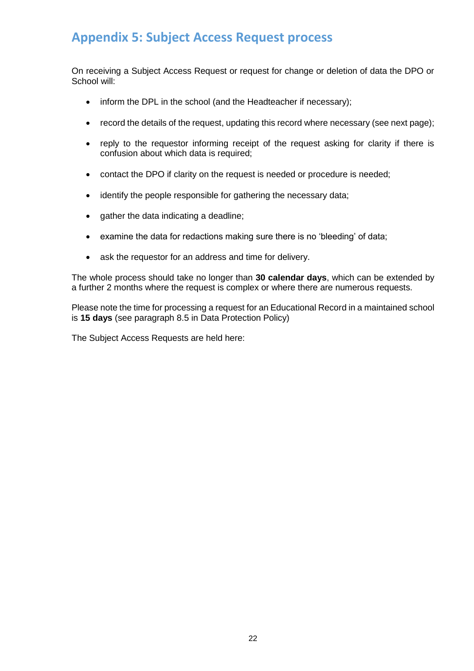## <span id="page-21-0"></span>**Appendix 5: Subject Access Request process**

On receiving a Subject Access Request or request for change or deletion of data the DPO or School will:

- inform the DPL in the school (and the Headteacher if necessary);
- record the details of the request, updating this record where necessary (see next page);
- reply to the requestor informing receipt of the request asking for clarity if there is confusion about which data is required;
- contact the DPO if clarity on the request is needed or procedure is needed;
- identify the people responsible for gathering the necessary data;
- gather the data indicating a deadline;
- examine the data for redactions making sure there is no 'bleeding' of data;
- ask the requestor for an address and time for delivery.

The whole process should take no longer than **30 calendar days**, which can be extended by a further 2 months where the request is complex or where there are numerous requests.

Please note the time for processing a request for an Educational Record in a maintained school is **15 days** (see paragraph 8.5 in Data Protection Policy)

The Subject Access Requests are held here: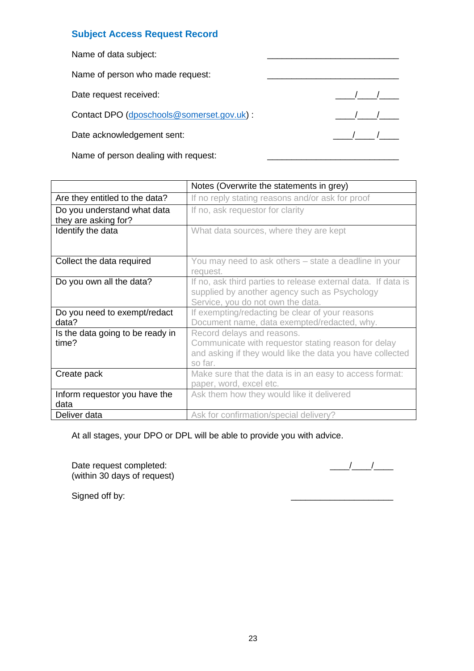#### **Subject Access Request Record**

| Name of data subject:                     |  |
|-------------------------------------------|--|
| Name of person who made request:          |  |
| Date request received:                    |  |
| Contact DPO (dposchools@somerset.gov.uk): |  |
| Date acknowledgement sent:                |  |
|                                           |  |

Name of person dealing with request:

|                                                     | Notes (Overwrite the statements in grey)                                                                                                                  |  |
|-----------------------------------------------------|-----------------------------------------------------------------------------------------------------------------------------------------------------------|--|
| Are they entitled to the data?                      | If no reply stating reasons and/or ask for proof                                                                                                          |  |
| Do you understand what data<br>they are asking for? | If no, ask requestor for clarity                                                                                                                          |  |
| Identify the data                                   | What data sources, where they are kept                                                                                                                    |  |
| Collect the data required                           | You may need to ask others – state a deadline in your<br>request.                                                                                         |  |
| Do you own all the data?                            | If no, ask third parties to release external data. If data is<br>supplied by another agency such as Psychology<br>Service, you do not own the data.       |  |
| Do you need to exempt/redact<br>data?               | If exempting/redacting be clear of your reasons<br>Document name, data exempted/redacted, why.                                                            |  |
| Is the data going to be ready in<br>time?           | Record delays and reasons.<br>Communicate with requestor stating reason for delay<br>and asking if they would like the data you have collected<br>so far. |  |
| Create pack                                         | Make sure that the data is in an easy to access format:<br>paper, word, excel etc.                                                                        |  |
| Inform requestor you have the<br>data               | Ask them how they would like it delivered                                                                                                                 |  |
| Deliver data                                        | Ask for confirmation/special delivery?                                                                                                                    |  |

At all stages, your DPO or DPL will be able to provide you with advice.

Date request completed: \_\_\_\_/\_\_\_\_/\_\_\_\_ (within 30 days of request)

Signed off by: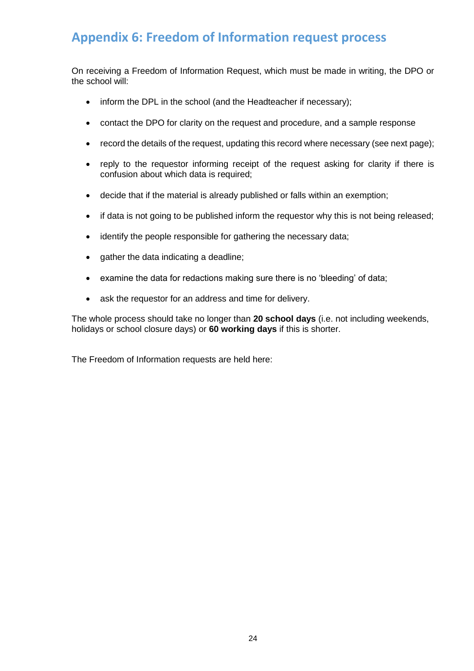## <span id="page-23-0"></span>**Appendix 6: Freedom of Information request process**

On receiving a Freedom of Information Request, which must be made in writing, the DPO or the school will:

- inform the DPL in the school (and the Headteacher if necessary);
- contact the DPO for clarity on the request and procedure, and a sample response
- record the details of the request, updating this record where necessary (see next page);
- reply to the requestor informing receipt of the request asking for clarity if there is confusion about which data is required;
- decide that if the material is already published or falls within an exemption;
- if data is not going to be published inform the requestor why this is not being released:
- identify the people responsible for gathering the necessary data;
- gather the data indicating a deadline;
- examine the data for redactions making sure there is no 'bleeding' of data;
- ask the requestor for an address and time for delivery.

The whole process should take no longer than **20 school days** (i.e. not including weekends, holidays or school closure days) or **60 working days** if this is shorter.

The Freedom of Information requests are held here: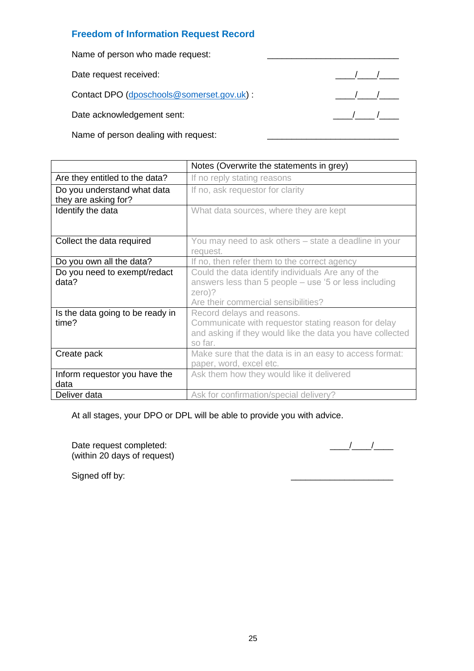#### **Freedom of Information Request Record**

Name of person who made request:

Date request received: \_\_\_\_/\_\_\_\_/\_\_\_\_

Contact DPO [\(dposchools@somerset.gov.uk\)](mailto:dposchools@somerset.gov.uk) : \_\_\_\_/\_\_\_\_/\_\_\_\_

Date acknowledgement sent: \_\_\_\_/\_\_\_\_ /\_\_\_\_

Name of person dealing with request:

|                                                     | Notes (Overwrite the statements in grey)                                                                                                                       |  |
|-----------------------------------------------------|----------------------------------------------------------------------------------------------------------------------------------------------------------------|--|
| Are they entitled to the data?                      | If no reply stating reasons                                                                                                                                    |  |
| Do you understand what data<br>they are asking for? | If no, ask requestor for clarity                                                                                                                               |  |
| Identify the data                                   | What data sources, where they are kept                                                                                                                         |  |
| Collect the data required                           | You may need to ask others - state a deadline in your<br>request.                                                                                              |  |
| Do you own all the data?                            | If no, then refer them to the correct agency                                                                                                                   |  |
| Do you need to exempt/redact<br>data?               | Could the data identify individuals Are any of the<br>answers less than 5 people – use '5 or less including<br>$zero$ ?<br>Are their commercial sensibilities? |  |
| Is the data going to be ready in<br>time?           | Record delays and reasons.<br>Communicate with requestor stating reason for delay<br>and asking if they would like the data you have collected<br>so far.      |  |
| Create pack                                         | Make sure that the data is in an easy to access format:<br>paper, word, excel etc.                                                                             |  |
| Inform requestor you have the<br>data               | Ask them how they would like it delivered                                                                                                                      |  |
| Deliver data                                        | Ask for confirmation/special delivery?                                                                                                                         |  |

At all stages, your DPO or DPL will be able to provide you with advice.

Date request completed: \_\_\_\_/\_\_\_\_/\_\_\_\_ (within 20 days of request)

Signed off by: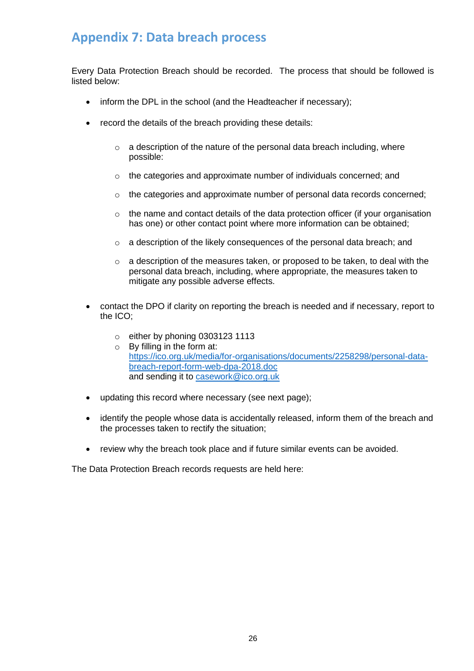## <span id="page-25-0"></span>**Appendix 7: Data breach process**

Every Data Protection Breach should be recorded. The process that should be followed is listed below:

- inform the DPL in the school (and the Headteacher if necessary);
- record the details of the breach providing these details:
	- $\circ$  a description of the nature of the personal data breach including, where possible:
	- o the categories and approximate number of individuals concerned; and
	- $\circ$  the categories and approximate number of personal data records concerned;
	- o the name and contact details of the data protection officer (if your organisation has one) or other contact point where more information can be obtained:
	- o a description of the likely consequences of the personal data breach; and
	- $\circ$  a description of the measures taken, or proposed to be taken, to deal with the personal data breach, including, where appropriate, the measures taken to mitigate any possible adverse effects.
- contact the DPO if clarity on reporting the breach is needed and if necessary, report to the ICO;
	- o either by phoning 0303123 1113
	- o By filling in the form at: [https://ico.org.uk/media/for-organisations/documents/2258298/personal-data](https://ico.org.uk/media/for-organisations/documents/2258298/personal-data-breach-report-form-web-dpa-2018.doc)[breach-report-form-web-dpa-2018.doc](https://ico.org.uk/media/for-organisations/documents/2258298/personal-data-breach-report-form-web-dpa-2018.doc) and sending it to [casework@ico.org.uk](mailto:casework@ico.org.uk)
- updating this record where necessary (see next page);
- identify the people whose data is accidentally released, inform them of the breach and the processes taken to rectify the situation;
- review why the breach took place and if future similar events can be avoided.

The Data Protection Breach records requests are held here: